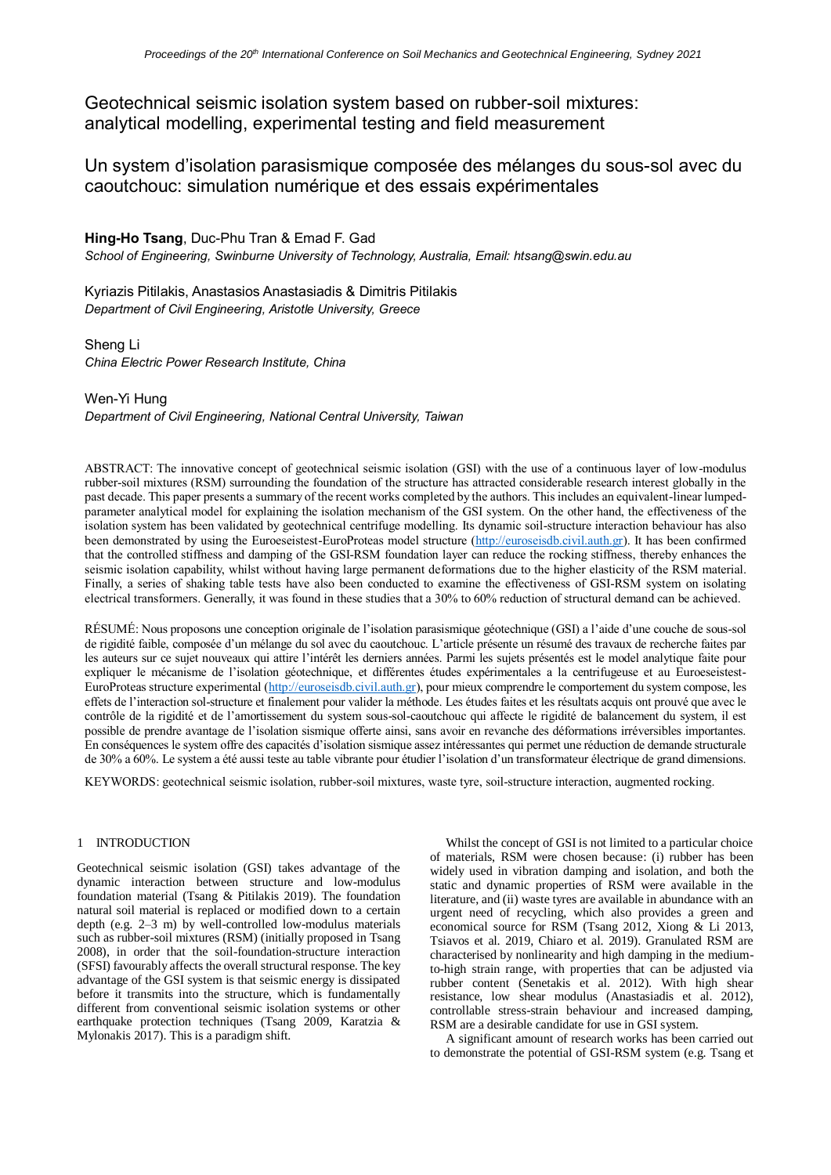Geotechnical seismic isolation system based on rubber-soil mixtures: analytical modelling, experimental testing and field measurement

Un system d'isolation parasismique composée des mélanges du sous-sol avec du caoutchouc: simulation numérique et des essais expérimentales

**Hing-Ho Tsang**, Duc-Phu Tran & Emad F. Gad *School of Engineering, Swinburne University of Technology, Australia, Email: htsang@swin.edu.au*

Kyriazis Pitilakis, Anastasios Anastasiadis & Dimitris Pitilakis *Department of Civil Engineering, Aristotle University, Greece*

Sheng Li *China Electric Power Research Institute, China*

Wen-Yi Hung *Department of Civil Engineering, National Central University, Taiwan*

ABSTRACT: The innovative concept of geotechnical seismic isolation (GSI) with the use of a continuous layer of low-modulus rubber-soil mixtures (RSM) surrounding the foundation of the structure has attracted considerable research interest globally in the past decade. This paper presents a summary of the recent works completed by the authors. This includes an equivalent-linear lumpedparameter analytical model for explaining the isolation mechanism of the GSI system. On the other hand, the effectiveness of the isolation system has been validated by geotechnical centrifuge modelling. Its dynamic soil-structure interaction behaviour has also been demonstrated by using the Euroeseistest-EuroProteas model structure [\(http://euroseisdb.civil.auth.gr\)](http://euroseisdb.civil.auth.gr/). It has been confirmed that the controlled stiffness and damping of the GSI-RSM foundation layer can reduce the rocking stiffness, thereby enhances the seismic isolation capability, whilst without having large permanent deformations due to the higher elasticity of the RSM material. Finally, a series of shaking table tests have also been conducted to examine the effectiveness of GSI-RSM system on isolating electrical transformers. Generally, it was found in these studies that a 30% to 60% reduction of structural demand can be achieved.

RÉSUMÉ: Nous proposons une conception originale de l'isolation parasismique géotechnique (GSI) a l'aide d'une couche de sous-sol de rigidité faible, composée d'un mélange du sol avec du caoutchouc. L'article présente un résumé des travaux de recherche faites par les auteurs sur ce sujet nouveaux qui attire l'intérêt les derniers années. Parmi les sujets présentés est le model analytique faite pour expliquer le mécanisme de l'isolation géotechnique, et différentes études expérimentales a la centrifugeuse et au Euroeseistest-EuroProteas structure experimental [\(http://euroseisdb.civil.auth.gr\)](http://euroseisdb.civil.auth.gr/), pour mieux comprendre le comportement du system compose, les effets de l'interaction sol-structure et finalement pour valider la méthode. Les études faites et les résultats acquis ont prouvé que avec le contrôle de la rigidité et de l'amortissement du system sous-sol-caoutchouc qui affecte le rigidité de balancement du system, il est possible de prendre avantage de l'isolation sismique offerte ainsi, sans avoir en revanche des déformations irréversibles importantes. En conséquences le system offre des capacités d'isolation sismique assez intéressantes qui permet une réduction de demande structurale de 30% a 60%. Le system a été aussi teste au table vibrante pour étudier l'isolation d'un transformateur électrique de grand dimensions.

KEYWORDS: geotechnical seismic isolation, rubber-soil mixtures, waste tyre, soil-structure interaction, augmented rocking.

# 1 INTRODUCTION

Geotechnical seismic isolation (GSI) takes advantage of the dynamic interaction between structure and low-modulus foundation material (Tsang & Pitilakis 2019). The foundation natural soil material is replaced or modified down to a certain depth (e.g. 2–3 m) by well-controlled low-modulus materials such as rubber-soil mixtures (RSM) (initially proposed in Tsang 2008), in order that the soil-foundation-structure interaction (SFSI) favourably affects the overall structural response. The key advantage of the GSI system is that seismic energy is dissipated before it transmits into the structure, which is fundamentally different from conventional seismic isolation systems or other earthquake protection techniques (Tsang 2009, Karatzia & Mylonakis 2017). This is a paradigm shift.

Whilst the concept of GSI is not limited to a particular choice of materials, RSM were chosen because: (i) rubber has been widely used in vibration damping and isolation, and both the static and dynamic properties of RSM were available in the literature, and (ii) waste tyres are available in abundance with an urgent need of recycling, which also provides a green and economical source for RSM (Tsang 2012, Xiong & Li 2013, Tsiavos et al. 2019, Chiaro et al. 2019). Granulated RSM are characterised by nonlinearity and high damping in the mediumto-high strain range, with properties that can be adjusted via rubber content (Senetakis et al. 2012). With high shear resistance, low shear modulus (Anastasiadis et al. 2012), controllable stress-strain behaviour and increased damping, RSM are a desirable candidate for use in GSI system.

A significant amount of research works has been carried out to demonstrate the potential of GSI-RSM system (e.g. Tsang et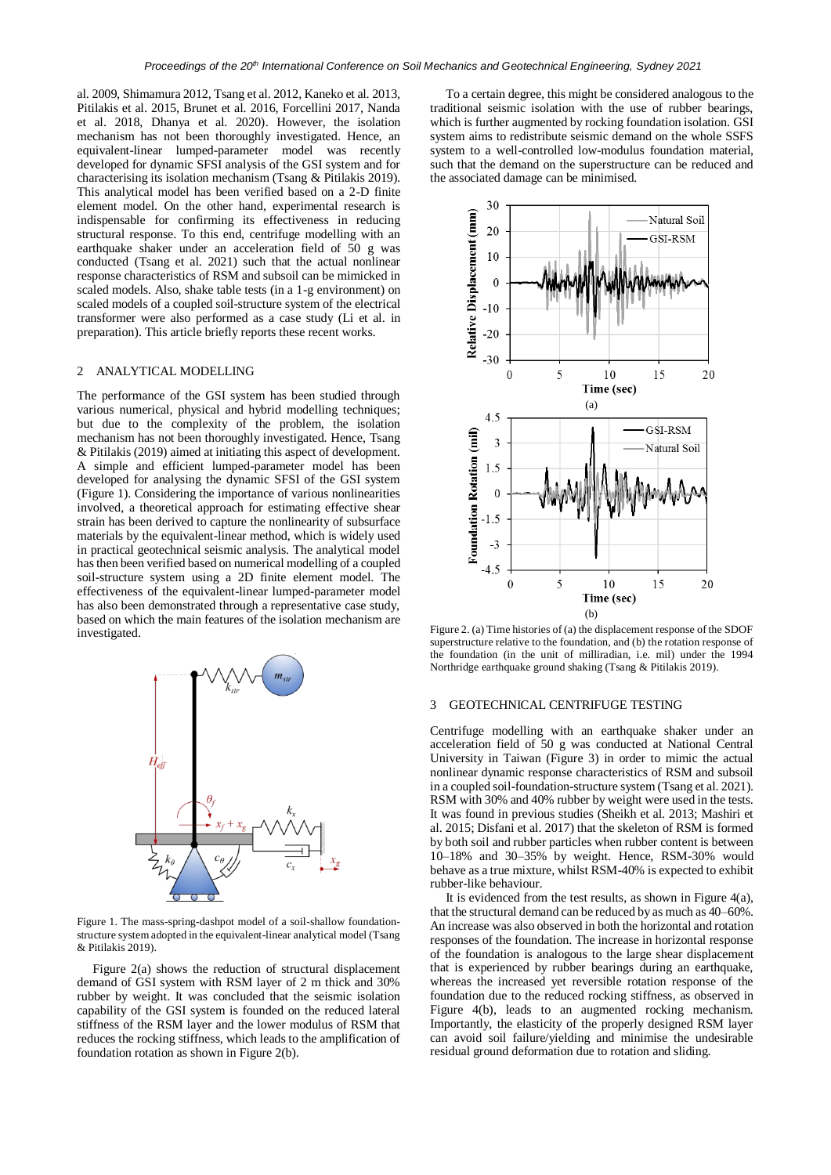al. 2009, Shimamura 2012, Tsang et al. 2012, Kaneko et al. 2013, Pitilakis et al. 2015, Brunet et al. 2016, Forcellini 2017, Nanda et al. 2018, Dhanya et al. 2020). However, the isolation mechanism has not been thoroughly investigated. Hence, an equivalent-linear lumped-parameter model was recently developed for dynamic SFSI analysis of the GSI system and for characterising its isolation mechanism (Tsang & Pitilakis 2019). This analytical model has been verified based on a 2-D finite element model. On the other hand, experimental research is indispensable for confirming its effectiveness in reducing structural response. To this end, centrifuge modelling with an earthquake shaker under an acceleration field of 50 g was conducted (Tsang et al. 2021) such that the actual nonlinear response characteristics of RSM and subsoil can be mimicked in scaled models. Also, shake table tests (in a 1-g environment) on scaled models of a coupled soil-structure system of the electrical transformer were also performed as a case study (Li et al. in preparation). This article briefly reports these recent works.

#### 2 ANALYTICAL MODELLING

The performance of the GSI system has been studied through various numerical, physical and hybrid modelling techniques; but due to the complexity of the problem, the isolation mechanism has not been thoroughly investigated. Hence, Tsang & Pitilakis (2019) aimed at initiating this aspect of development. A simple and efficient lumped-parameter model has been developed for analysing the dynamic SFSI of the GSI system (Figure 1). Considering the importance of various nonlinearities involved, a theoretical approach for estimating effective shear strain has been derived to capture the nonlinearity of subsurface materials by the equivalent-linear method, which is widely used in practical geotechnical seismic analysis. The analytical model has then been verified based on numerical modelling of a coupled soil-structure system using a 2D finite element model. The effectiveness of the equivalent-linear lumped-parameter model has also been demonstrated through a representative case study, based on which the main features of the isolation mechanism are investigated.



Figure 1. The mass-spring-dashpot model of a soil-shallow foundationstructure system adopted in the equivalent-linear analytical model (Tsang & Pitilakis 2019).

Figure 2(a) shows the reduction of structural displacement demand of GSI system with RSM layer of 2 m thick and 30% rubber by weight. It was concluded that the seismic isolation capability of the GSI system is founded on the reduced lateral stiffness of the RSM layer and the lower modulus of RSM that reduces the rocking stiffness, which leads to the amplification of foundation rotation as shown in Figure 2(b).

To a certain degree, this might be considered analogous to the traditional seismic isolation with the use of rubber bearings, which is further augmented by rocking foundation isolation. GSI system aims to redistribute seismic demand on the whole SSFS system to a well-controlled low-modulus foundation material, such that the demand on the superstructure can be reduced and the associated damage can be minimised.



Figure 2. (a) Time histories of (a) the displacement response of the SDOF superstructure relative to the foundation, and (b) the rotation response of the foundation (in the unit of milliradian, i.e. mil) under the 1994 Northridge earthquake ground shaking (Tsang & Pitilakis 2019).

# 3 GEOTECHNICAL CENTRIFUGE TESTING

Centrifuge modelling with an earthquake shaker under an acceleration field of 50 g was conducted at National Central University in Taiwan (Figure 3) in order to mimic the actual nonlinear dynamic response characteristics of RSM and subsoil in a coupled soil-foundation-structure system (Tsang et al. 2021). RSM with 30% and 40% rubber by weight were used in the tests. It was found in previous studies (Sheikh et al. 2013; Mashiri et al. 2015; Disfani et al. 2017) that the skeleton of RSM is formed by both soil and rubber particles when rubber content is between 10–18% and 30–35% by weight. Hence, RSM-30% would behave as a true mixture, whilst RSM-40% is expected to exhibit rubber-like behaviour.

It is evidenced from the test results, as shown in Figure 4(a), that the structural demand can be reduced by as much as 40–60%. An increase was also observed in both the horizontal and rotation responses of the foundation. The increase in horizontal response of the foundation is analogous to the large shear displacement that is experienced by rubber bearings during an earthquake, whereas the increased yet reversible rotation response of the foundation due to the reduced rocking stiffness, as observed in Figure 4(b), leads to an augmented rocking mechanism. Importantly, the elasticity of the properly designed RSM layer can avoid soil failure/yielding and minimise the undesirable residual ground deformation due to rotation and sliding.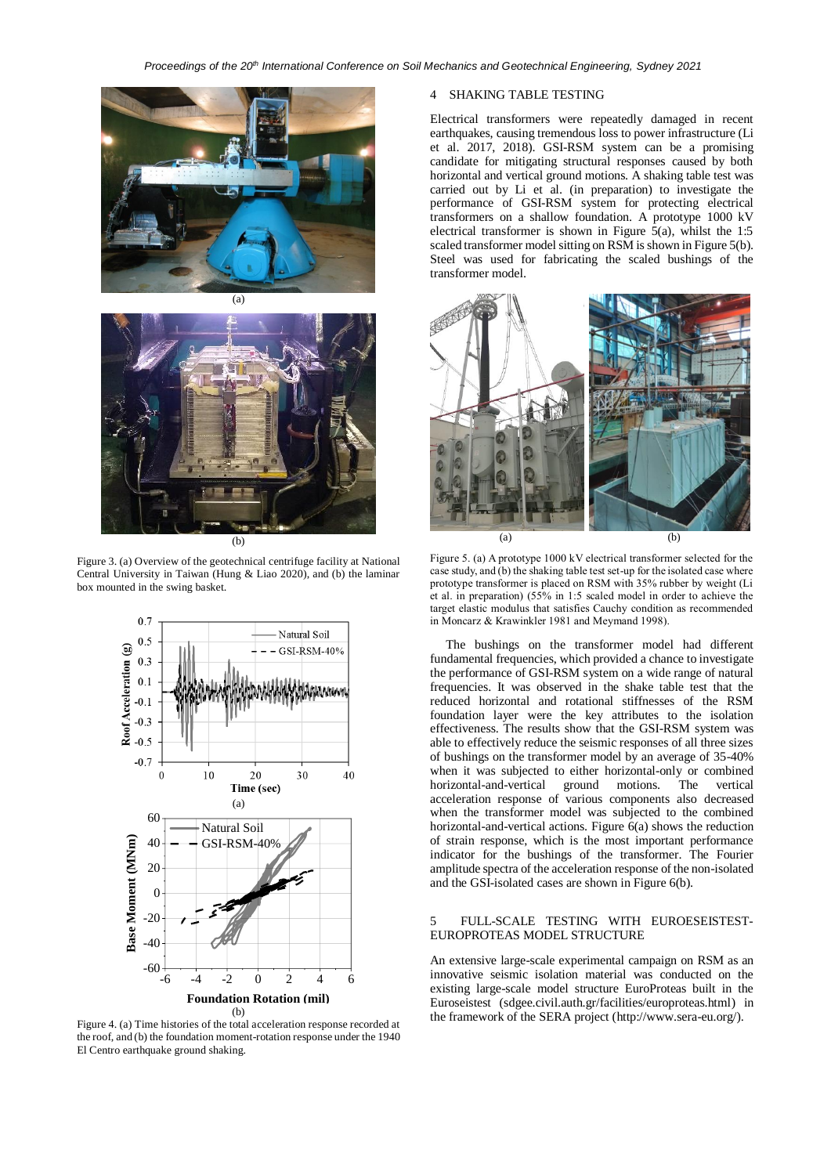



Figure 3. (a) Overview of the geotechnical centrifuge facility at National Central University in Taiwan (Hung & Liao 2020), and (b) the laminar box mounted in the swing basket.



Figure 4. (a) Time histories of the total acceleration response recorded at the roof, and (b) the foundation moment-rotation response under the 1940 El Centro earthquake ground shaking.

# 4 SHAKING TABLE TESTING

Electrical transformers were repeatedly damaged in recent earthquakes, causing tremendous loss to power infrastructure (Li et al. 2017, 2018). GSI-RSM system can be a promising candidate for mitigating structural responses caused by both horizontal and vertical ground motions. A shaking table test was carried out by Li et al. (in preparation) to investigate the performance of GSI-RSM system for protecting electrical transformers on a shallow foundation. A prototype 1000 kV electrical transformer is shown in Figure  $\bar{5}$ (a), whilst the 1:5 scaled transformer model sitting on RSM is shown in Figure 5(b). Steel was used for fabricating the scaled bushings of the transformer model.



Figure 5. (a) A prototype 1000 kV electrical transformer selected for the case study, and (b) the shaking table test set-up for the isolated case where prototype transformer is placed on RSM with 35% rubber by weight (Li et al. in preparation) (55% in 1:5 scaled model in order to achieve the target elastic modulus that satisfies Cauchy condition as recommended in Moncarz & Krawinkler 1981 and Meymand 1998).

The bushings on the transformer model had different fundamental frequencies, which provided a chance to investigate the performance of GSI-RSM system on a wide range of natural frequencies. It was observed in the shake table test that the reduced horizontal and rotational stiffnesses of the RSM foundation layer were the key attributes to the isolation effectiveness. The results show that the GSI-RSM system was able to effectively reduce the seismic responses of all three sizes of bushings on the transformer model by an average of 35-40% when it was subjected to either horizontal-only or combined horizontal-and-vertical ground motions. The vertical horizontal-and-vertical ground motions. The vertical acceleration response of various components also decreased when the transformer model was subjected to the combined horizontal-and-vertical actions. Figure 6(a) shows the reduction of strain response, which is the most important performance indicator for the bushings of the transformer. The Fourier amplitude spectra of the acceleration response of the non-isolated and the GSI-isolated cases are shown in Figure 6(b).

## 5 FULL-SCALE TESTING WITH EUROESEISTEST-EUROPROTEAS MODEL STRUCTURE

An extensive large-scale experimental campaign on RSM as an innovative seismic isolation material was conducted on the existing large-scale model structure EuroProteas built in the Euroseistest (sdgee.civil.auth.gr/facilities/europroteas.html) in the framework of the SERA project (http://www.sera-eu.org/).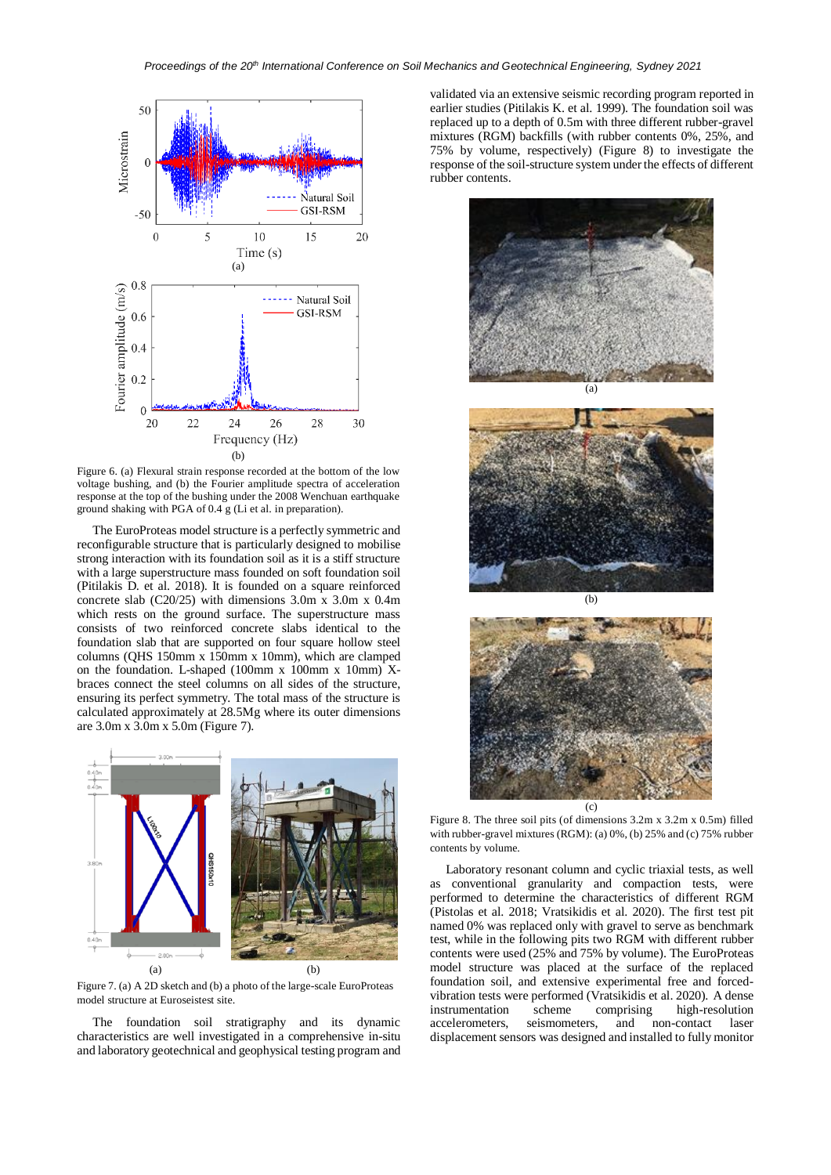

Figure 6. (a) Flexural strain response recorded at the bottom of the low voltage bushing, and (b) the Fourier amplitude spectra of acceleration response at the top of the bushing under the 2008 Wenchuan earthquake ground shaking with PGA of 0.4 g (Li et al. in preparation).

The EuroProteas model structure is a perfectly symmetric and reconfigurable structure that is particularly designed to mobilise strong interaction with its foundation soil as it is a stiff structure with a large superstructure mass founded on soft foundation soil (Pitilakis D. et al. 2018). It is founded on a square reinforced concrete slab (C20/25) with dimensions 3.0m x 3.0m x 0.4m which rests on the ground surface. The superstructure mass consists of two reinforced concrete slabs identical to the foundation slab that are supported on four square hollow steel columns (QHS 150mm x 150mm x 10mm), which are clamped on the foundation. L-shaped (100mm x 100mm x 10mm)  $X$ braces connect the steel columns on all sides of the structure, ensuring its perfect symmetry. The total mass of the structure is calculated approximately at 28.5Mg where its outer dimensions are 3.0m x 3.0m x 5.0m (Figure 7).



Figure 7. (a) A 2D sketch and (b) a photo of the large-scale EuroProteas model structure at Euroseistest site.

The foundation soil stratigraphy and its dynamic characteristics are well investigated in a comprehensive in-situ and laboratory geotechnical and geophysical testing program and validated via an extensive seismic recording program reported in earlier studies (Pitilakis K. et al. 1999). The foundation soil was replaced up to a depth of 0.5m with three different rubber-gravel mixtures (RGM) backfills (with rubber contents 0%, 25%, and 75% by volume, respectively) (Figure 8) to investigate the response of the soil-structure system under the effects of different rubber contents.







Figure 8. The three soil pits (of dimensions 3.2m x 3.2m x 0.5m) filled with rubber-gravel mixtures (RGM): (a) 0%, (b) 25% and (c) 75% rubber contents by volume.

Laboratory resonant column and cyclic triaxial tests, as well as conventional granularity and compaction tests, were performed to determine the characteristics of different RGM (Pistolas et al. 2018; Vratsikidis et al. 2020). The first test pit named 0% was replaced only with gravel to serve as benchmark test, while in the following pits two RGM with different rubber contents were used (25% and 75% by volume). The EuroProteas model structure was placed at the surface of the replaced foundation soil, and extensive experimental free and forcedvibration tests were performed (Vratsikidis et al. 2020). A dense instrumentation scheme comprising high-resolution accelerometers, seismometers, and non-contact laser displacement sensors was designed and installed to fully monitor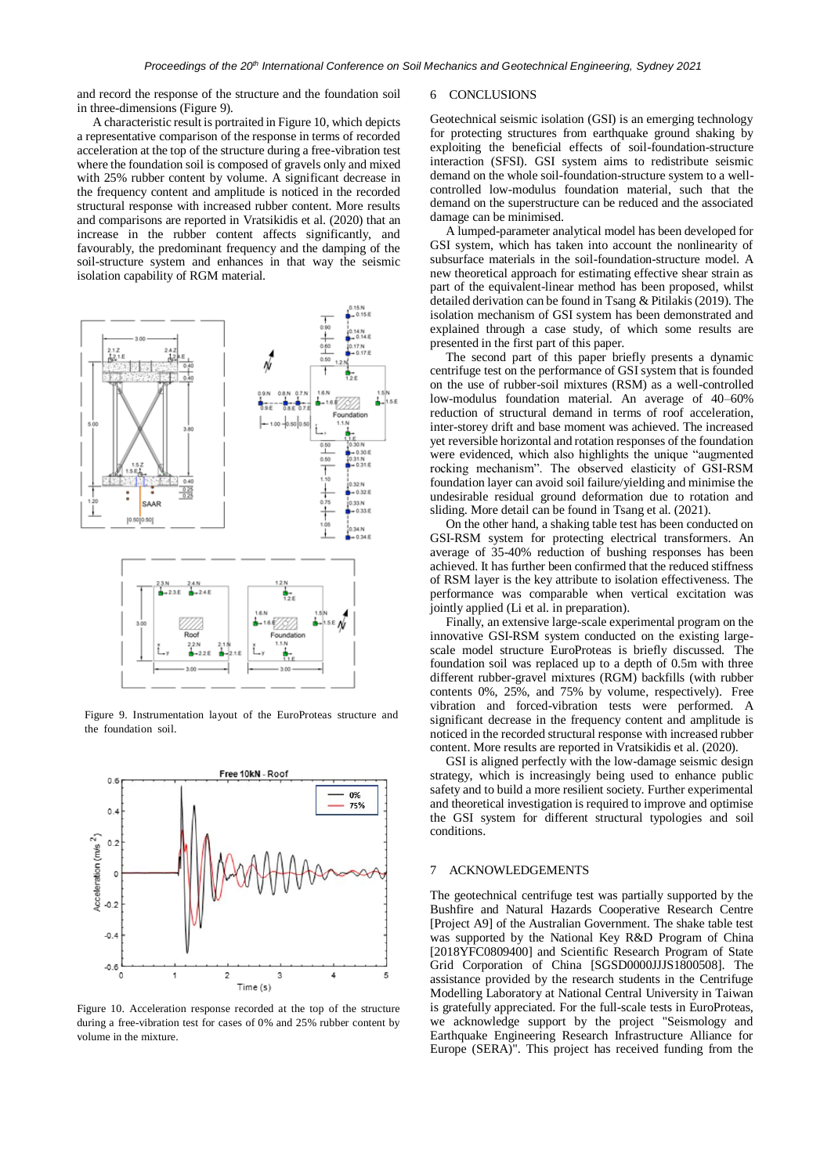and record the response of the structure and the foundation soil in three-dimensions (Figure 9).

A characteristic result is portraited in Figure 10, which depicts a representative comparison of the response in terms of recorded acceleration at the top of the structure during a free-vibration test where the foundation soil is composed of gravels only and mixed with 25% rubber content by volume. A significant decrease in the frequency content and amplitude is noticed in the recorded structural response with increased rubber content. More results and comparisons are reported in Vratsikidis et al. (2020) that an increase in the rubber content affects significantly, and favourably, the predominant frequency and the damping of the soil-structure system and enhances in that way the seismic isolation capability of RGM material.



Figure 9. Instrumentation layout of the EuroProteas structure and the foundation soil.



Figure 10. Acceleration response recorded at the top of the structure during a free-vibration test for cases of 0% and 25% rubber content by volume in the mixture.

#### 6 CONCLUSIONS

Geotechnical seismic isolation (GSI) is an emerging technology for protecting structures from earthquake ground shaking by exploiting the beneficial effects of soil-foundation-structure interaction (SFSI). GSI system aims to redistribute seismic demand on the whole soil-foundation-structure system to a wellcontrolled low-modulus foundation material, such that the demand on the superstructure can be reduced and the associated damage can be minimised.

A lumped-parameter analytical model has been developed for GSI system, which has taken into account the nonlinearity of subsurface materials in the soil-foundation-structure model. A new theoretical approach for estimating effective shear strain as part of the equivalent-linear method has been proposed, whilst detailed derivation can be found in Tsang & Pitilakis (2019). The isolation mechanism of GSI system has been demonstrated and explained through a case study, of which some results are presented in the first part of this paper.

The second part of this paper briefly presents a dynamic centrifuge test on the performance of GSI system that is founded on the use of rubber-soil mixtures (RSM) as a well-controlled low-modulus foundation material. An average of 40–60% reduction of structural demand in terms of roof acceleration, inter-storey drift and base moment was achieved. The increased yet reversible horizontal and rotation responses of the foundation were evidenced, which also highlights the unique "augmented rocking mechanism". The observed elasticity of GSI-RSM foundation layer can avoid soil failure/yielding and minimise the undesirable residual ground deformation due to rotation and sliding. More detail can be found in Tsang et al. (2021).

On the other hand, a shaking table test has been conducted on GSI-RSM system for protecting electrical transformers. An average of 35-40% reduction of bushing responses has been achieved. It has further been confirmed that the reduced stiffness of RSM layer is the key attribute to isolation effectiveness. The performance was comparable when vertical excitation was jointly applied (Li et al. in preparation).

Finally, an extensive large-scale experimental program on the innovative GSI-RSM system conducted on the existing largescale model structure EuroProteas is briefly discussed. The foundation soil was replaced up to a depth of 0.5m with three different rubber-gravel mixtures (RGM) backfills (with rubber contents 0%, 25%, and 75% by volume, respectively). Free vibration and forced-vibration tests were performed. A significant decrease in the frequency content and amplitude is noticed in the recorded structural response with increased rubber content. More results are reported in Vratsikidis et al. (2020).

GSI is aligned perfectly with the low-damage seismic design strategy, which is increasingly being used to enhance public safety and to build a more resilient society. Further experimental and theoretical investigation is required to improve and optimise the GSI system for different structural typologies and soil conditions.

# 7 ACKNOWLEDGEMENTS

The geotechnical centrifuge test was partially supported by the Bushfire and Natural Hazards Cooperative Research Centre [Project A9] of the Australian Government. The shake table test was supported by the National Key R&D Program of China [2018YFC0809400] and Scientific Research Program of State Grid Corporation of China [SGSD0000JJJS1800508]. The assistance provided by the research students in the Centrifuge Modelling Laboratory at National Central University in Taiwan is gratefully appreciated. For the full-scale tests in EuroProteas, we acknowledge support by the project "Seismology and Earthquake Engineering Research Infrastructure Alliance for Europe (SERA)". This project has received funding from the